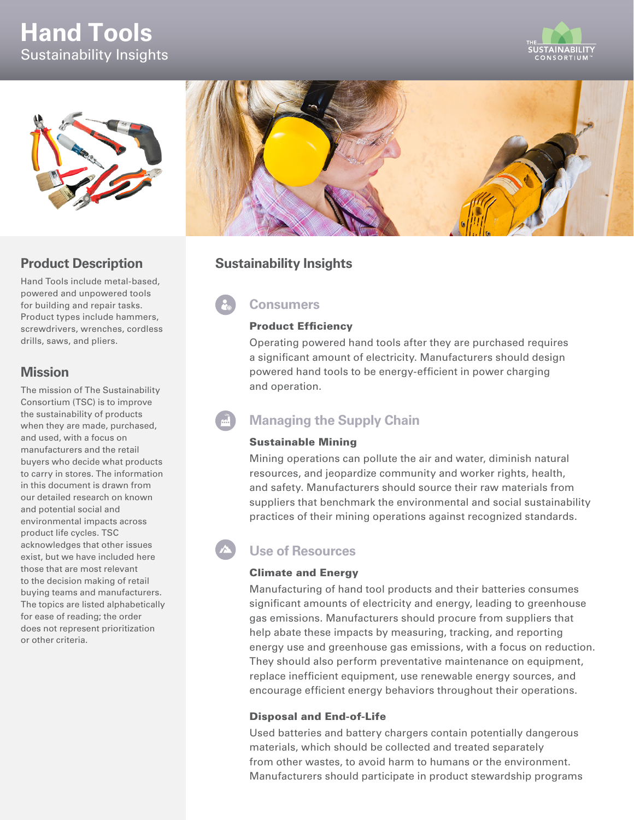# **Hand Tools** Sustainability Insights





## **Product Description**

Hand Tools include metal-based, powered and unpowered tools for building and repair tasks. Product types include hammers, screwdrivers, wrenches, cordless drills, saws, and pliers.

## **Mission**

The mission of The Sustainability Consortium (TSC) is to improve the sustainability of products when they are made, purchased, and used, with a focus on manufacturers and the retail buyers who decide what products to carry in stores. The information in this document is drawn from our detailed research on known and potential social and environmental impacts across product life cycles. TSC acknowledges that other issues exist, but we have included here those that are most relevant to the decision making of retail buying teams and manufacturers. The topics are listed alphabetically for ease of reading; the order does not represent prioritization or other criteria.



## **Sustainability Insights**

## **Consumers**

#### Product Efficiency

Operating powered hand tools after they are purchased requires a significant amount of electricity. Manufacturers should design powered hand tools to be energy-efficient in power charging and operation.

## **Managing the Supply Chain**

### Sustainable Mining

Mining operations can pollute the air and water, diminish natural resources, and jeopardize community and worker rights, health, and safety. Manufacturers should source their raw materials from suppliers that benchmark the environmental and social sustainability practices of their mining operations against recognized standards.

## **Use of Resources**

### Climate and Energy

Manufacturing of hand tool products and their batteries consumes significant amounts of electricity and energy, leading to greenhouse gas emissions. Manufacturers should procure from suppliers that help abate these impacts by measuring, tracking, and reporting energy use and greenhouse gas emissions, with a focus on reduction. They should also perform preventative maintenance on equipment, replace inefficient equipment, use renewable energy sources, and encourage efficient energy behaviors throughout their operations.

### Disposal and End-of-Life

Used batteries and battery chargers contain potentially dangerous materials, which should be collected and treated separately from other wastes, to avoid harm to humans or the environment. Manufacturers should participate in product stewardship programs